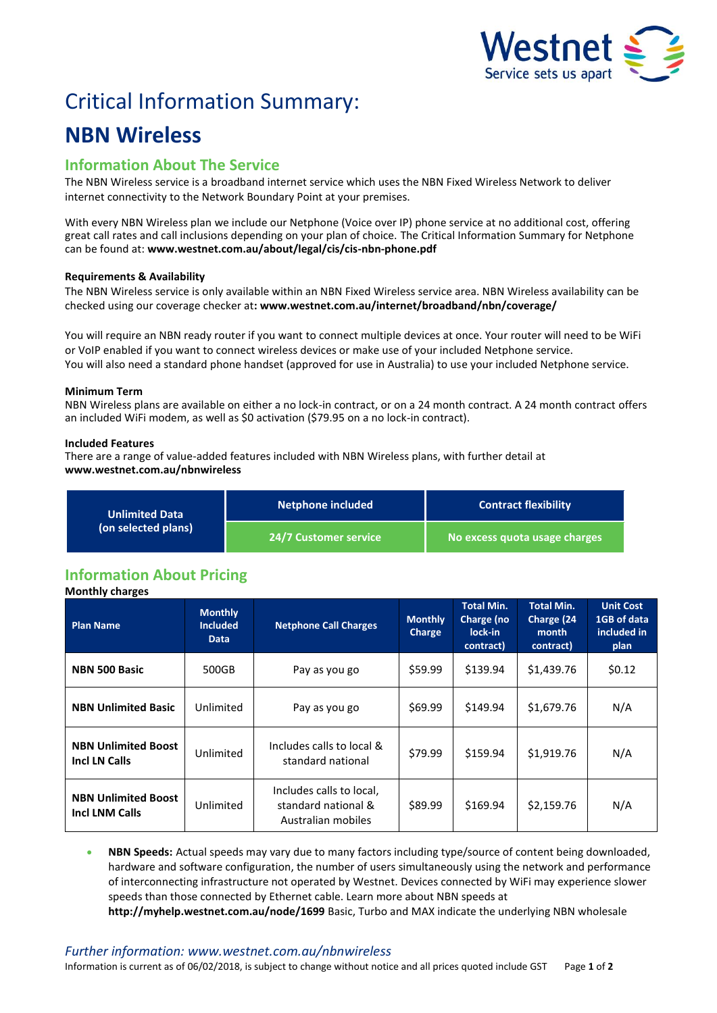

# Critical Information Summary:

## **NBN Wireless**

### **Information About The Service**

The NBN Wireless service is a broadband internet service which uses the NBN Fixed Wireless Network to deliver internet connectivity to the Network Boundary Point at your premises.

With every NBN Wireless plan we include our Netphone (Voice over IP) phone service at no additional cost, offering great call rates and call inclusions depending on your plan of choice. The Critical Information Summary for Netphone can be found at: **www.westnet.com.au/about/legal/cis/cis-nbn-phone.pdf**

#### **Requirements & Availability**

The NBN Wireless service is only available within an NBN Fixed Wireless service area. NBN Wireless availability can be checked using our coverage checker at**: www.westnet.com.au/internet/broadband/nbn/coverage/**

You will require an NBN ready router if you want to connect multiple devices at once. Your router will need to be WiFi or VoIP enabled if you want to connect wireless devices or make use of your included Netphone service. You will also need a standard phone handset (approved for use in Australia) to use your included Netphone service.

#### **Minimum Term**

NBN Wireless plans are available on either a no lock-in contract, or on a 24 month contract. A 24 month contract offers an included WiFi modem, as well as \$0 activation (\$79.95 on a no lock-in contract).

#### **Included Features**

There are a range of value-added features included with NBN Wireless plans, with further detail at **www.westnet.com.au/nbnwireless**

| <b>Unlimited Data</b><br>(on selected plans) | Netphone included     | <b>Contract flexibility</b>   |  |  |
|----------------------------------------------|-----------------------|-------------------------------|--|--|
|                                              | 24/7 Customer service | No excess quota usage charges |  |  |

## **Information About Pricing**

**Monthly charges**

| <b>Plan Name</b>                                    | <b>Monthly</b><br><b>Included</b><br>Data | <b>Netphone Call Charges</b>                                          | <b>Monthly</b><br>Charge | <b>Total Min.</b><br>Charge (no<br>lock-in<br>contract) | <b>Total Min.</b><br>Charge (24<br>month<br>contract) | <b>Unit Cost</b><br>1GB of data<br>included in<br>plan |
|-----------------------------------------------------|-------------------------------------------|-----------------------------------------------------------------------|--------------------------|---------------------------------------------------------|-------------------------------------------------------|--------------------------------------------------------|
| <b>NBN 500 Basic</b>                                | 500GB                                     | Pay as you go                                                         | \$59.99                  | \$139.94                                                | \$1,439.76                                            | \$0.12                                                 |
| <b>NBN Unlimited Basic</b>                          | Unlimited                                 | Pay as you go                                                         | \$69.99                  | \$149.94                                                | \$1,679.76                                            | N/A                                                    |
| <b>NBN Unlimited Boost</b><br>Incl LN Calls         | Unlimited                                 | Includes calls to local &<br>standard national                        | \$79.99                  | \$159.94                                                | \$1,919.76                                            | N/A                                                    |
| <b>NBN Unlimited Boost</b><br><b>Incl LNM Calls</b> | Unlimited                                 | Includes calls to local,<br>standard national &<br>Australian mobiles | \$89.99                  | \$169.94                                                | \$2,159.76                                            | N/A                                                    |

 **NBN Speeds:** Actual speeds may vary due to many factors including type/source of content being downloaded, hardware and software configuration, the number of users simultaneously using the network and performance of interconnecting infrastructure not operated by Westnet. Devices connected by WiFi may experience slower speeds than those connected by Ethernet cable. Learn more about NBN speeds at **http://myhelp.westnet.com.au/node/1699** Basic, Turbo and MAX indicate the underlying NBN wholesale